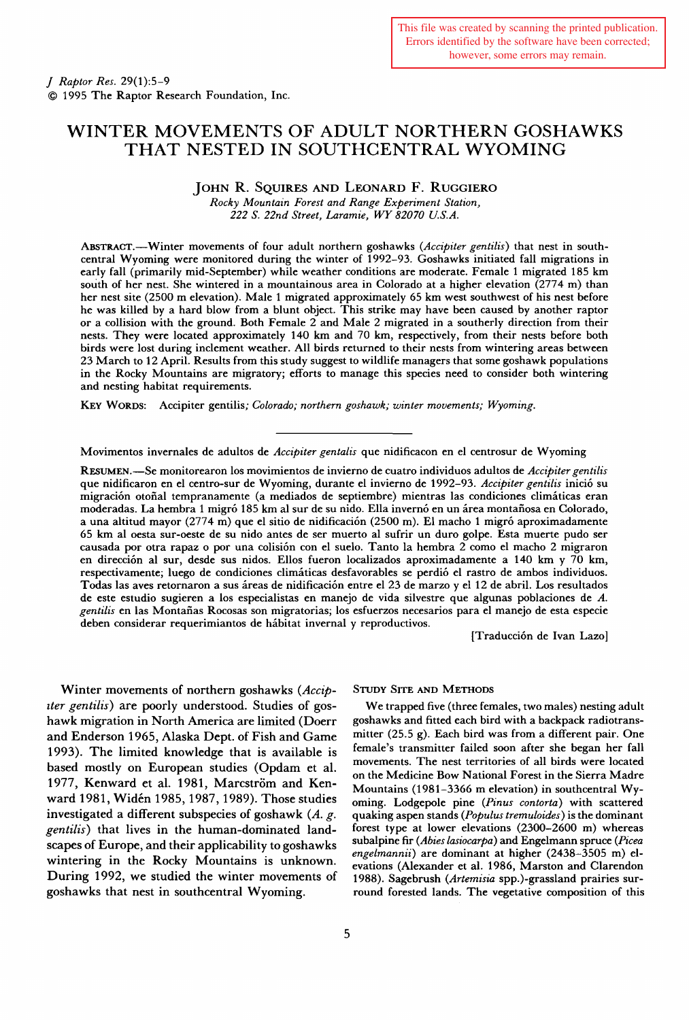# WINTER MOVEMENTS OF ADULT NORTHERN GOSHAWKS THAT NESTED IN SOUTHCENTRAL WYOMING

# JOHN R. SQUIRES AND LEONARD F. RUGGIERO

*Rocky Mountain Forest and Range Experiment Station, 222 S. 22nd Street, Laramie, WY 82070 U.S.A.* 

ABSTRACT.-Winter movements of four adult northern goshawks *(Accipiter gentilis)* that nest in southcentral Wyoming were monitored during the winter of 1992-93. Goshawks initiated fall migrations in early fall (primarily mid-September) while weather conditions are moderate. Female 1 migrated 185 km south of her nest. She wintered in a mountainous area in Colorado at a higher elevation  $(2774 \text{ m})$  than her nest site (2500 m elevation). Male 1 migrated approximately 65 km west southwest of his nest before he was killed by a hard blow from a blunt object. This strike may have been caused by another raptor or a collision with the ground. Both Female 2 and Male 2 migrated in a southerly direction from their nests. They were located approximately 140 km and 70 km, respectively, from their nests before both birds were lost during inclement weather. All birds returned to their nests from wintering areas between 23 March to 12 April. Results from this study suggest to wildlife managers that some goshawk populations in the Rocky Mountains are migratory; efforts to manage this species need to consider both wintering and nesting habitat requirements.

KEY WORDS: Accipiter gentilis; *Colorado; northern goshawk; winter movements; Wyoming.* 

Movimentos invernales de adultos de *Accipiter gentalis* que nidificacon en el centrosur de Wyoming

RESUMEN.-Se monitorearon los movimientos de invierno de cuatro individuos adultos de *Accipiter gentilis*  que nidificaron en el centro-sur de Wyoming, durante el invierno de 1992-93. *Accipiter gentilis* inicio su migración otoñal tempranamente (a mediados de septiembre) mientras las condiciones climáticas eran moderadas. La hembra 1 migró 185 km al sur de su nido. Ella invernó en un área montañosa en Colorado, a una altitud mayor (2774 m) que el sitio de nidificación (2500 m). El macho 1 migró aproximadamente 65 km al oesta sur-oeste de su nido antes de ser muerto al sufrir un duro golpe. Esta muerte pudo ser causada por otra rapaz o por una colision con el suelo. Tanto la hembra 2 como el macho 2 migraron en direccion al sur, desde sus nidos. Ellos fueron localizados aproximadamente a 140 km y 70 km, respectivamente; luego de condiciones climaticas desfavorables se perdio el rastro de ambos individuos. Todas las aves retornaron a sus áreas de nidificación entre el 23 de marzo y el 12 de abril. Los resultados de este estudio sugieren a los especialistas en manejo de vida silvestre que algunas poblaciones de A. *gentilis* en las Montaiias Rocosas son migratorias; los esfuerzos necesarios para el manejo de esta especie deben considerar requerimiantos de habitat invernal y reproductivos.

[Traducci6n de Ivan Lazo]

Winter movements of northern goshawks *(Accipzter gentilis)* are poorly understood. Studies of goshawk migration in North America are limited (Doerr and Enderson 1965, Alaska Dept. of Fish and Game 1993). The limited knowledge that is available is based mostly on European studies (Opdam et al. 1977, Kenward et al. 1981, Marcström and Kenward 1981, Widen 1985,1987, 1989). Those studies investigated a different subspecies of goshawk (A. *g. gentilis)* that lives in the human-dominated landscapes of Europe, and their applicability to goshawks wintering in the Rocky Mountains is unknown. During 1992, we studied the winter movements of goshawks that nest in southcentral Wyoming.

#### STUDY SITE AND METHODS

We trapped five (three females, two males) nesting adult goshawks and fitted each bird with a backpack radiotransmitter (25.5 g). Each bird was from a different pair. One female's transmitter failed soon after she began her fall movements. The nest territories of all birds were located on the Medicine Bow National Forest in the Sierra Madre Mountains (1981-3366 m elevation) in southcentral Wyoming. Lodgepole pine *(Pinus contorta)* with scattered quaking aspen stands *(Populus tremuloides)* is the dominant forest type at lower elevations (2300-2600 m) whereas subalpine fir *(Abies lasiocarpa)* and Engelmann spruce *(Picea engelmannii)* are dominant at higher (2438-3505 m) elevations (Alexander et al. 1986, Marston and Clarendon 1988). Sagebrush *(Artemisia* spp.)-grassland prairies surround forested lands. The vegetative composition of this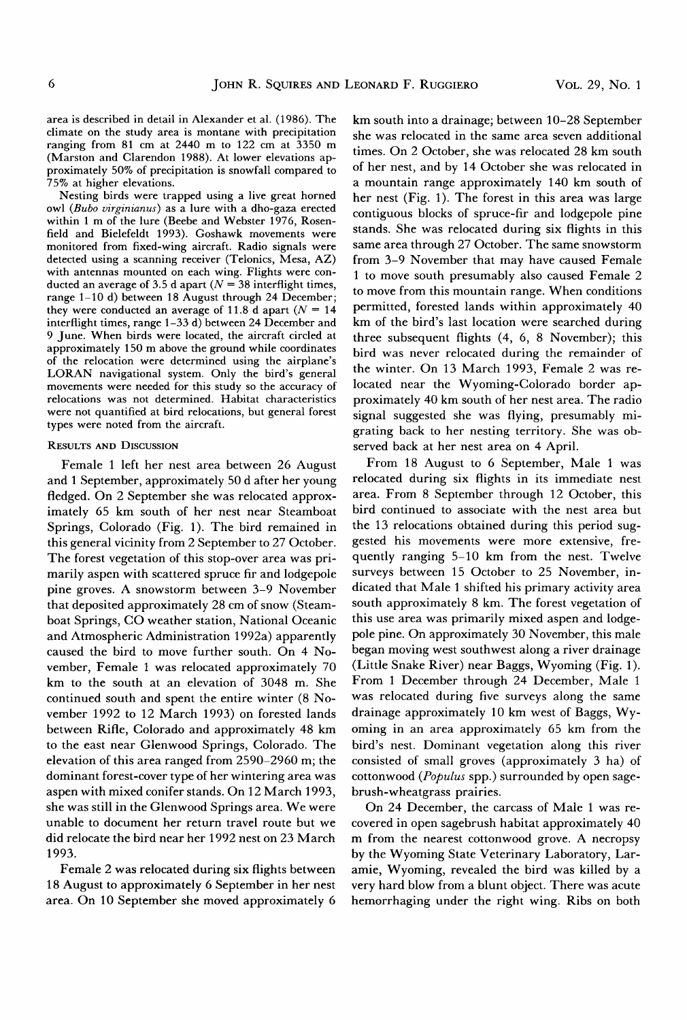area is described in detail in Alexander et al. (1986). The climate on the study area is montane with precipitation ranging from 81 em at 2440 m to 122 em at 3350 m (Marston and Clarendon 1988). At lower elevations approximately 50% of precipitation is snowfall compared to 75% at higher elevations.

Nesting birds were trapped using a live great horned owl *(Bubo virginianus)* as a lure with a dho-gaza erected within 1 m of the lure (Beebe and Webster 1976, Rosenfield and Bielefeldt 1993). Goshawk movements were monitored from fixed-wing aircraft. Radio signals were detected using a scanning receiver (Telonics, Mesa, AZ) with antennas mounted on each wing. Flights were conducted an average of 3.5 d apart ( $N = 38$  interflight times, range 1-10 d) between 18 August through 24 December; they were conducted an average of 11.8 d apart ( $N = 14$ ) interflight times, range 1-33 d) between 24 December and 9 June. When birds were located, the aircraft circled at approximately 150m above the ground while coordinates of the relocation were determined using the airplane's LORAN navigational system. Only the bird's general movements were needed for this study so the accuracy of relocations was not determined. Habitat characteristics were not quantified at bird relocations, but general forest types were noted from the aircraft.

## RESULTS AND DISCUSSION

Female 1 left her nest area between 26 August and 1 September, approximately 50 dafter her young fledged. On 2 September she was relocated approximately 65 km south of her nest near Steamboat Springs, Colorado (Fig. 1). The bird remained in this general vicinity from 2 September to 27 October. The forest vegetation of this stop-over area was primarily aspen with scattered spruce fir and lodgepole pine groves. A snowstorm between 3-9 November that deposited approximately 28 em of snow (Steamboat Springs, CO weather station, National Oceanic and Atmospheric Administration 1992a) apparently caused the bird to move further south. On 4 November, Female 1 was relocated approximately 70 km to the south at an elevation of 3048 m. She continued south and spent the entire winter (8 November 1992 to 12 March 1993) on forested lands between Rifle, Colorado and approximately 48 km to the east near Glenwood Springs, Colorado. The elevation of this area ranged from 2590-2960 m; the dominant forest-cover type of her wintering area was aspen with mixed conifer stands. On 12 March 1993, she was still in the Glenwood Springs area. We were unable to document her return travel route but we did relocate the bird near her 1 992 nest on 23 March 1993.

Female 2 was relocated during six flights between 18 August to approximately 6 September in her nest area. On 10 September she moved approximately 6 km south into a drainage; between 10-28 September she was relocated in the same area seven additional times. On 2 October, she was relocated 28 km south of her nest, and by 14 October she was relocated in a mountain range approximately 140 km south of her nest (Fig. 1). The forest in this area was large contiguous blocks of spruce-fir and lodgepole pine stands. She was relocated during six flights in this same area through 27 October. The same snowstorm from 3-9 November that may have caused Female 1 to move south presumably also caused Female 2 to move from this mountain range. When conditions permitted, forested lands within approximately 40 km of the bird's last location were searched during three subsequent flights (4, 6, 8 November); this bird was never relocated during the remainder of the winter. On 13 March 1993, Female 2 was relocated near the Wyoming-Colorado border approximately 40 km south of her nest area. The radio signal suggested she was flying, presumably migrating back to her nesting territory. She was observed back at her nest area on 4 April.

From 18 August to 6 September, Male 1 was relocated during six flights in its immediate nest area. From 8 September through 12 October, this bird continued to associate with the nest area but the 13 relocations obtained during this period suggested his movements were more extensive, frequently ranging 5-10 km from the nest. Twelve surveys between 15 October to 25 November, indicated that Male 1 shifted his primary activity area south approximately 8 km. The forest vegetation of this use area was primarily mixed aspen and lodgepole pine. On approximately 30 November, this male began moving west southwest along a river drainage (Little Snake River) near Baggs, Wyoming (Fig. 1). From 1 December through 24 December, Male 1 was relocated during five surveys along the same drainage approximately 10 km west of Baggs, Wyoming in an area approximately 65 km from the bird's nest. Dominant vegetation along this river consisted of small groves (approximately 3 ha) of cottonwood *(Populus* spp.) surrounded by open sagebrush-wheatgrass prairies.

On 24 December, the carcass of Male 1 was recovered in open sagebrush habitat approximately 40 m from the nearest cottonwood grove. A necropsy by the Wyoming State Veterinary Laboratory, Laramie, Wyoming, revealed the bird was killed by a very hard blow from a blunt object. There was acute hemorrhaging under the right wing. Ribs on both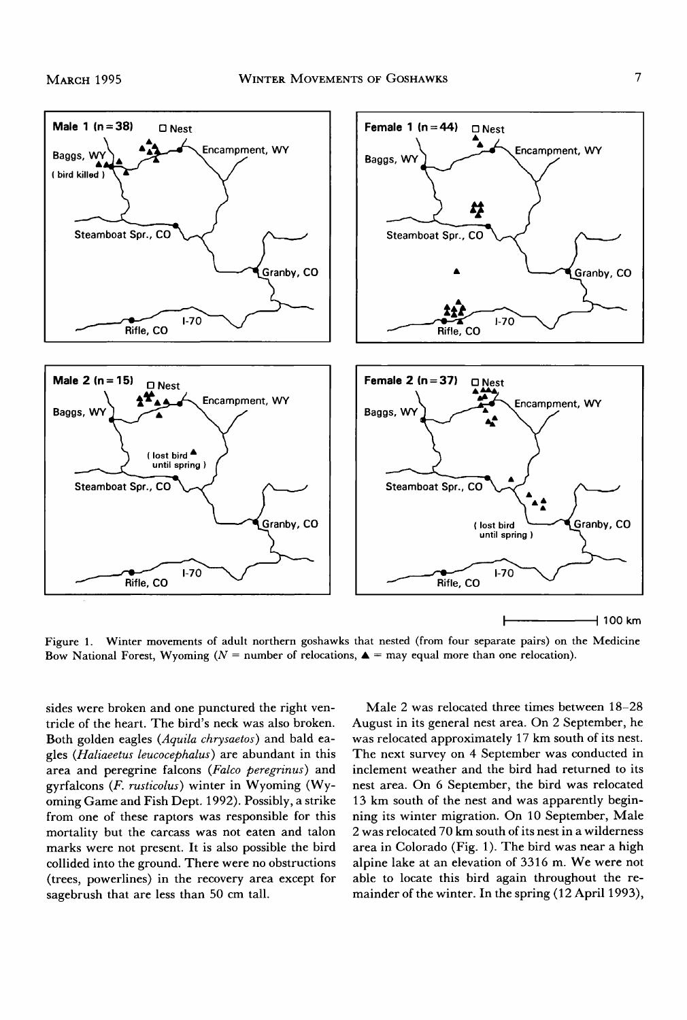

Figure 1. Winter movements of adult northern goshawks that nested (from four separate pairs) on the Medicine Bow National Forest, Wyoming ( $N =$  number of relocations,  $\triangle =$  may equal more than one relocation).

sides were broken and one punctured the right ventricle of the heart. The bird's neck was also broken. Both golden eagles *(Aquila chrysaetos)* and bald eagles *(Haliaeetus leucocephalus)* are abundant in this area and peregrine falcons *(Falco peregrinus)* and gyrfalcons (F. *rusticolus)* winter in Wyoming (Wyoming Game and Fish Dept. 1992). Possibly, a strike from one of these raptors was responsible for this mortality but the carcass was not eaten and talon marks were not present. It is also possible the bird collided into the ground. There were no obstructions (trees, powerlines) in the recovery area except for sagebrush that are less than 50 em tall.

Male 2 was relocated three times between 18-28 August in its general nest area. On 2 September, he was relocated approximately 17 km south of its nest. The next survey on 4 September was conducted in inclement weather and the bird had returned to its nest area. On 6 September, the bird was relocated 13 km south of the nest and was apparently beginning its winter migration. On 10 September, Male 2 was relocated 70 km south of its nest in a wilderness area in Colorado (Fig. 1). The bird was near a high alpine lake at an elevation of 3316 m. We were not able to locate this bird again throughout the remainder of the winter. In the spring  $(12$  April 1993),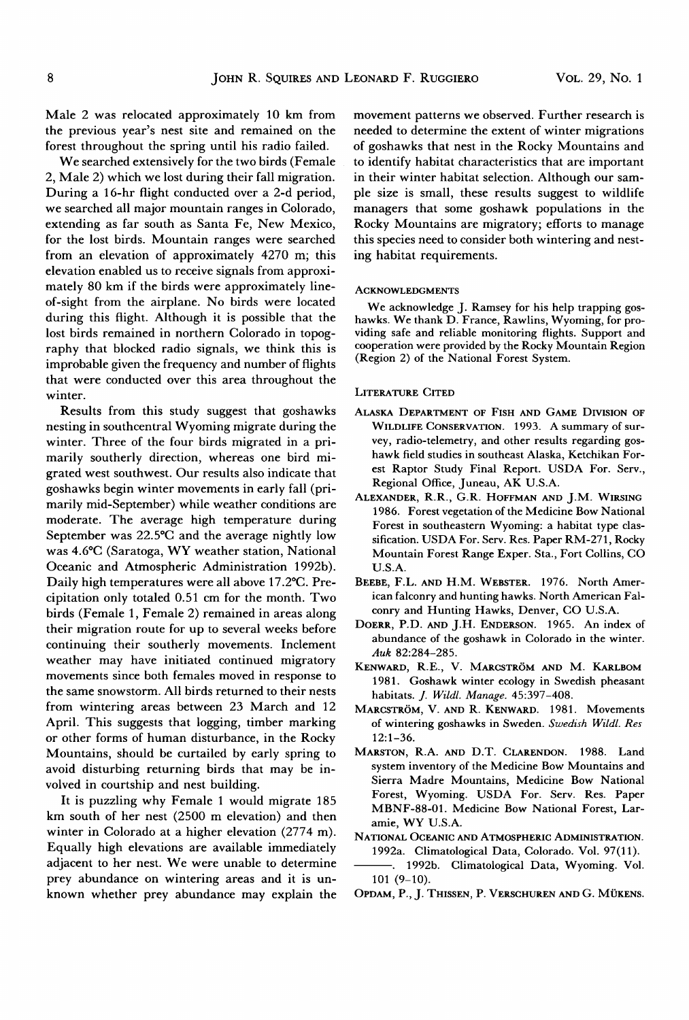Male 2 was relocated approximately 10 km from the previous year's nest site and remained on the forest throughout the spring until his radio failed.

We searched extensively for the two birds (Female 2, Male 2) which we lost during their fall migration. During a 16-hr flight conducted over a 2-d period, we searched all major mountain ranges in Colorado, extending as far south as Santa Fe, New Mexico, for the lost birds. Mountain ranges were searched from an elevation of approximately 4270 m; this elevation enabled us to receive signals from approximately 80 km if the birds were approximately lineof-sight from the airplane. No birds were located during this flight. Although it is possible that the lost birds remained in northern Colorado in topography that blocked radio signals, we think this is improbable given the frequency and number of flights that were conducted over this area throughout the winter.

Results from this study suggest that goshawks nesting in southcentral Wyoming migrate during the winter. Three of the four birds migrated in a primarily southerly direction, whereas one bird migrated west southwest. Our results also indicate that goshawks begin winter movements in early fall (primarily mid-September) while weather conditions are moderate. The average high temperature during September was 22.5°C and the average nightly low was 4.6°C (Saratoga, WY weather station, National Oceanic and Atmospheric Administration 1992b). Daily high temperatures were all above 17 .2°C. Precipitation only totaled 0.51 em for the month. Two birds (Female 1, Female 2) remained in areas along their migration route for up to several weeks before continuing their southerly movements. Inclement weather may have initiated continued migratory movements since both females moved in response to the same snowstorm. All birds returned to their nests from wintering areas between 23 March and 12 April. This suggests that logging, timber marking or other forms of human disturbance, in the Rocky Mountains, should be curtailed by early spring to avoid disturbing returning birds that may be involved in courtship and nest building.

It is puzzling why Female 1 would migrate 185 km south of her nest (2500 m elevation) and then winter in Colorado at a higher elevation (2774 m). Equally high elevations are available immediately adjacent to her nest. We were unable to determine prey abundance on wintering areas and it is unknown whether prey abundance may explain the movement patterns we observed. Further research is needed to determine the extent of winter migrations of goshawks that nest in the Rocky Mountains and to identify habitat characteristics that are important in their winter habitat selection. Although our sample size is small, these results suggest to wildlife managers that some goshawk populations in the Rocky Mountains are migratory; efforts to manage this species need to consider both wintering and nesting habitat requirements.

#### ACKNOWLEDGMENTS

We acknowledge J. Ramsey for his help trapping goshawks. We thank D. France, Rawlins, Wyoming, for providing safe and reliable monitoring flights. Support and cooperation were provided by the Rocky Mountain Region (Region 2) of the National Forest System.

## LITERATURE CITED

- ALASKA DEPARTMENT OF FISH AND GAME DIVISION OF WILDLIFE CONSERVATION. 1993. A summary of survey, radio-telemetry, and other results regarding goshawk field studies in southeast Alaska, Ketchikan Forest Raptor Study Final Report. USDA For. Serv., Regional Office, Juneau, AK U.S.A.
- ALEXANDER, R.R., G.R. HOFFMAN AND J.M. WIRSING 1986. Forest vegetation of the Medicine Bow National Forest in southeastern Wyoming: a habitat type classification. USDA For. Serv. Res. Paper RM-271, Rocky Mountain Forest Range Exper. Sta., Fort Collins, CO U.S.A.
- BEEBE, F.L. AND H.M. WEBSTER. 1976. North American falconry and hunting hawks. North American Falconry and Hunting Hawks, Denver, CO U.S.A.
- DOERR, P.D. AND J.H. ENDERSON. 1965. An index of abundance of the goshawk in Colorado in the winter. *Auk* 82:284-285.
- KENWARD, R.E., V. MARCSTRÖM AND M. KARLBOM 1981. Goshawk winter ecology in Swedish pheasant habitats. *]. Wild/. Manage.* 45:397-408.
- MARCSTRÖM, V. AND R. KENWARD. 1981. Movements of wintering goshawks in Sweden. *Swedish Wild/. Res*  12:1-36.
- MARSTON, R.A. AND D.T. CLARENDON. 1988. Land system inventory of the Medicine Bow Mountains and Sierra Madre Mountains, Medicine Bow National Forest, Wyoming. USDA For. Serv. Res. Paper MBNF-88-01. Medicine Bow National Forest, Laramie, WY U.S.A.
- NATIONAL OCEANIC AND ATMOSPHERIC ADMINISTRATION. 1992a. Climatological Data, Colorado. VoL 97(11). -. 1992b. Climatological Data, Wyoming. Vol.
- 101 (9-10).
- 0PDAM, P., j. THISSEN, P. VERSCHUREN AND G. MUKENS.